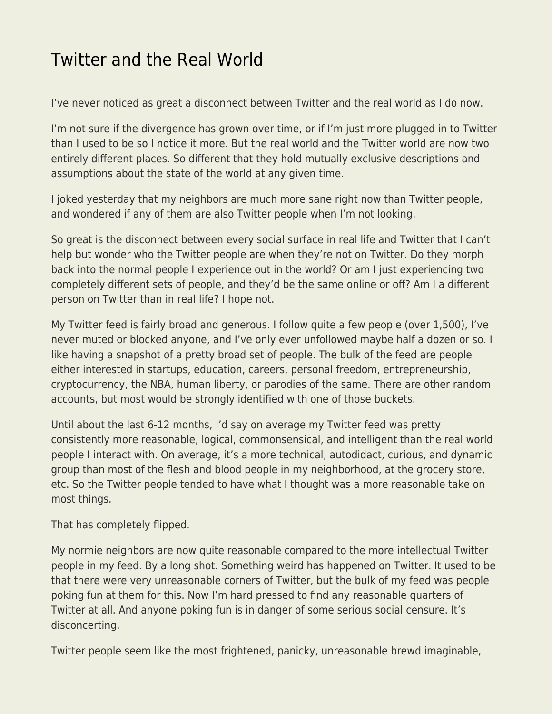## [Twitter and the Real World](https://everything-voluntary.com/twitter-and-the-real-world)

I've never noticed as great a disconnect between Twitter and the real world as I do now.

I'm not sure if the divergence has grown over time, or if I'm just more plugged in to Twitter than I used to be so I notice it more. But the real world and the Twitter world are now two entirely different places. So different that they hold mutually exclusive descriptions and assumptions about the state of the world at any given time.

I joked yesterday that my neighbors are much more sane right now than Twitter people, and wondered if any of them are also Twitter people when I'm not looking.

So great is the disconnect between every social surface in real life and Twitter that I can't help but wonder who the Twitter people are when they're not on Twitter. Do they morph back into the normal people I experience out in the world? Or am I just experiencing two completely different sets of people, and they'd be the same online or off? Am I a different person on Twitter than in real life? I hope not.

My Twitter feed is fairly broad and generous. I follow quite a few people (over 1,500), I've never muted or blocked anyone, and I've only ever unfollowed maybe half a dozen or so. I like having a snapshot of a pretty broad set of people. The bulk of the feed are people either interested in startups, education, careers, personal freedom, entrepreneurship, cryptocurrency, the NBA, human liberty, or parodies of the same. There are other random accounts, but most would be strongly identified with one of those buckets.

Until about the last 6-12 months, I'd say on average my Twitter feed was pretty consistently more reasonable, logical, commonsensical, and intelligent than the real world people I interact with. On average, it's a more technical, autodidact, curious, and dynamic group than most of the flesh and blood people in my neighborhood, at the grocery store, etc. So the Twitter people tended to have what I thought was a more reasonable take on most things.

That has completely flipped.

My normie neighbors are now quite reasonable compared to the more intellectual Twitter people in my feed. By a long shot. Something weird has happened on Twitter. It used to be that there were very unreasonable corners of Twitter, but the bulk of my feed was people poking fun at them for this. Now I'm hard pressed to find any reasonable quarters of Twitter at all. And anyone poking fun is in danger of some serious social censure. It's disconcerting.

Twitter people seem like the most frightened, panicky, unreasonable brewd imaginable,